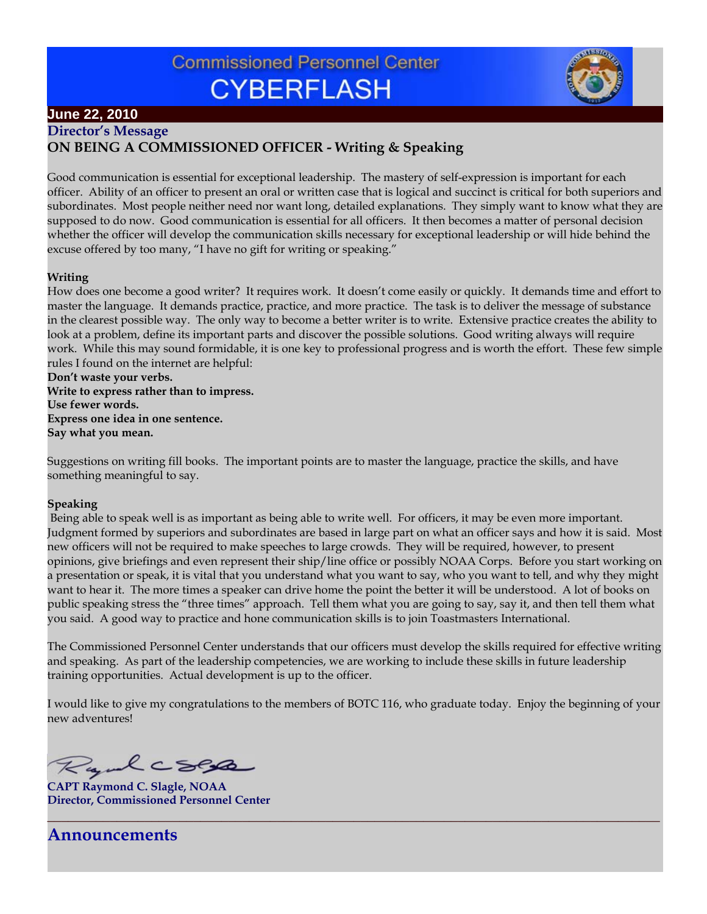# **Commissioned Personnel Center CYBERFLASH**



## **June 22, 2010**

**Director's Message**

### **ON BEING A COMMISSIONED OFFICER - Writing & Speaking**

Good communication is essential for exceptional leadership. The mastery of self-expression is important for each officer. Ability of an officer to present an oral or written case that is logical and succinct is critical for both superiors and subordinates. Most people neither need nor want long, detailed explanations. They simply want to know what they are supposed to do now. Good communication is essential for all officers. It then becomes a matter of personal decision whether the officer will develop the communication skills necessary for exceptional leadership or will hide behind the excuse offered by too many, "I have no gift for writing or speaking."

#### **Writing**

How does one become a good writer? It requires work. It doesn't come easily or quickly. It demands time and effort to master the language. It demands practice, practice, and more practice. The task is to deliver the message of substance in the clearest possible way. The only way to become a better writer is to write. Extensive practice creates the ability to look at a problem, define its important parts and discover the possible solutions. Good writing always will require work. While this may sound formidable, it is one key to professional progress and is worth the effort. These few simple rules I found on the internet are helpful:

**Don't waste your verbs. Write to express rather than to impress. Use fewer words. Express one idea in one sentence. Say what you mean.** 

Suggestions on writing fill books. The important points are to master the language, practice the skills, and have something meaningful to say.

#### **Speaking**

 Being able to speak well is as important as being able to write well. For officers, it may be even more important. Judgment formed by superiors and subordinates are based in large part on what an officer says and how it is said. Most new officers will not be required to make speeches to large crowds. They will be required, however, to present opinions, give briefings and even represent their ship/line office or possibly NOAA Corps. Before you start working on a presentation or speak, it is vital that you understand what you want to say, who you want to tell, and why they might want to hear it. The more times a speaker can drive home the point the better it will be understood. A lot of books on public speaking stress the "three times" approach. Tell them what you are going to say, say it, and then tell them what you said. A good way to practice and hone communication skills is to join Toastmasters International.

The Commissioned Personnel Center understands that our officers must develop the skills required for effective writing and speaking. As part of the leadership competencies, we are working to include these skills in future leadership training opportunities. Actual development is up to the officer.

I would like to give my congratulations to the members of BOTC 116, who graduate today. Enjoy the beginning of your new adventures!

**\_\_\_\_\_\_\_\_\_\_\_\_\_\_\_\_\_\_\_\_\_\_\_\_\_\_\_\_\_\_\_\_\_\_\_\_\_\_\_\_\_\_\_\_\_\_\_\_\_\_\_\_\_\_\_\_\_\_\_\_\_\_\_\_\_\_\_\_\_\_\_\_\_\_\_\_\_\_\_\_\_\_\_\_\_\_\_\_**

Rydcsep

**CAPT Raymond C. Slagle, NOAA Director, Commissioned Personnel Center**

**Announcements**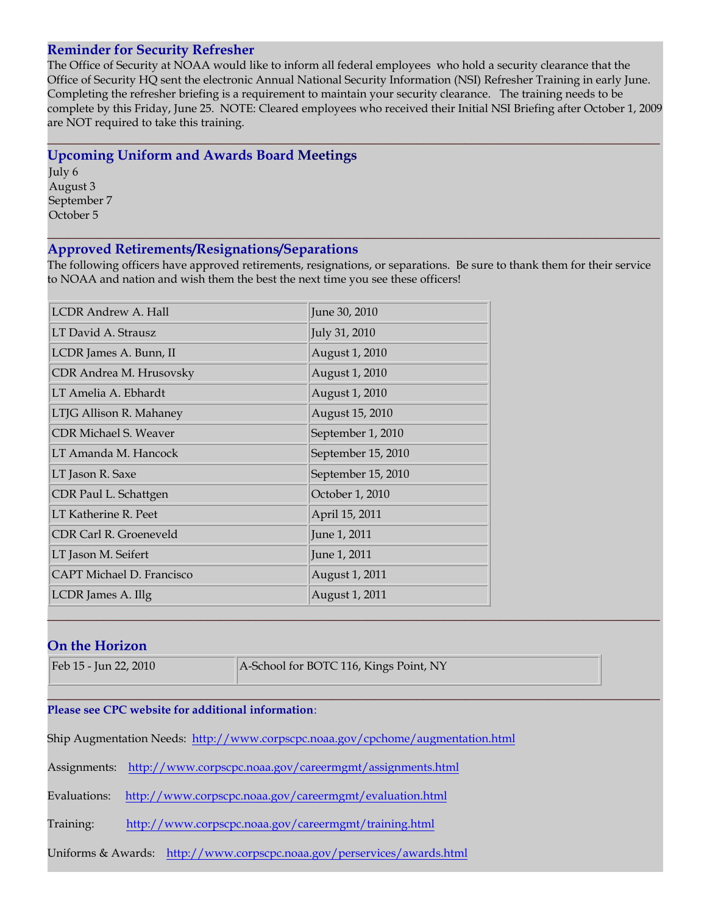#### **Reminder for Security Refresher**

The Office of Security at NOAA would like to inform all federal employees who hold a security clearance that the Office of Security HQ sent the electronic Annual National Security Information (NSI) Refresher Training in early June. Completing the refresher briefing is a requirement to maintain your security clearance. The training needs to be complete by this Friday, June 25. NOTE: Cleared employees who received their Initial NSI Briefing after October 1, 2009 are NOT required to take this training.

**\_\_\_\_\_\_\_\_\_\_\_\_\_\_\_\_\_\_\_\_\_\_\_\_\_\_\_\_\_\_\_\_\_\_\_\_\_\_\_\_\_\_\_\_\_\_\_\_\_\_\_\_\_\_\_\_\_\_\_\_\_\_\_\_\_\_\_\_\_\_\_\_\_\_\_\_\_\_\_\_\_\_\_\_\_\_\_\_**

#### **Upcoming Uniform and Awards Board Meetings**

July 6 August 3 September 7 October 5

#### **Approved Retirements/Resignations/Separations**

The following officers have approved retirements, resignations, or separations. Be sure to thank them for their service to NOAA and nation and wish them the best the next time you see these officers!

**\_\_\_\_\_\_\_\_\_\_\_\_\_\_\_\_\_\_\_\_\_\_\_\_\_\_\_\_\_\_\_\_\_\_\_\_\_\_\_\_\_\_\_\_\_\_\_\_\_\_\_\_\_\_\_\_\_\_\_\_\_\_\_\_\_\_\_\_\_\_\_\_\_\_\_\_\_\_\_\_\_\_\_\_\_\_\_\_**

| <b>LCDR Andrew A. Hall</b>   | June 30, 2010      |
|------------------------------|--------------------|
| LT David A. Strausz          | July 31, 2010      |
| LCDR James A. Bunn, II       | August 1, 2010     |
| CDR Andrea M. Hrusovsky      | August 1, 2010     |
| LT Amelia A. Ebhardt         | August 1, 2010     |
| LTJG Allison R. Mahaney      | August 15, 2010    |
| <b>CDR Michael S. Weaver</b> | September 1, 2010  |
| LT Amanda M. Hancock         | September 15, 2010 |
| LT Jason R. Saxe             | September 15, 2010 |
| CDR Paul L. Schattgen        | October 1, 2010    |
| LT Katherine R. Peet         | April 15, 2011     |
| CDR Carl R. Groeneveld       | June 1, 2011       |
| LT Jason M. Seifert          | June 1, 2011       |
| CAPT Michael D. Francisco    | August 1, 2011     |
| LCDR James A. Illg           | August 1, 2011     |

#### **On the Horizon**

Feb 15 - Jun 22, 2010 **A-School for BOTC 116, Kings Point, NY** 

**\_\_\_\_\_\_\_\_\_\_\_\_\_\_\_\_\_\_\_\_\_\_\_\_\_\_\_\_\_\_\_\_\_\_\_\_\_\_\_\_\_\_\_\_\_\_\_\_\_\_\_\_\_\_\_\_\_\_\_\_\_\_\_\_\_\_\_\_\_\_\_\_\_\_\_\_\_\_\_\_\_\_\_\_\_\_\_\_**

**\_\_\_\_\_\_\_\_\_\_\_\_\_\_\_\_\_\_\_\_\_\_\_\_\_\_\_\_\_\_\_\_\_\_\_\_\_\_\_\_\_\_\_\_\_\_\_\_\_\_\_\_\_\_\_\_\_\_\_\_\_\_\_\_\_\_\_\_\_\_\_\_\_\_\_\_\_\_\_\_\_\_\_\_\_\_\_\_**

#### **Please see CPC website for additional information**:

Ship Augmentation Needs: http://www.corpscpc.noaa.gov/cpchome/augmentation.html

Assignments: http://www.corpscpc.noaa.gov/careermgmt/assignments.html

Evaluations: http://www.corpscpc.noaa.gov/careermgmt/evaluation.html

Training: http://www.corpscpc.noaa.gov/careermgmt/training.html

Uniforms & Awards: http://www.corpscpc.noaa.gov/perservices/awards.html